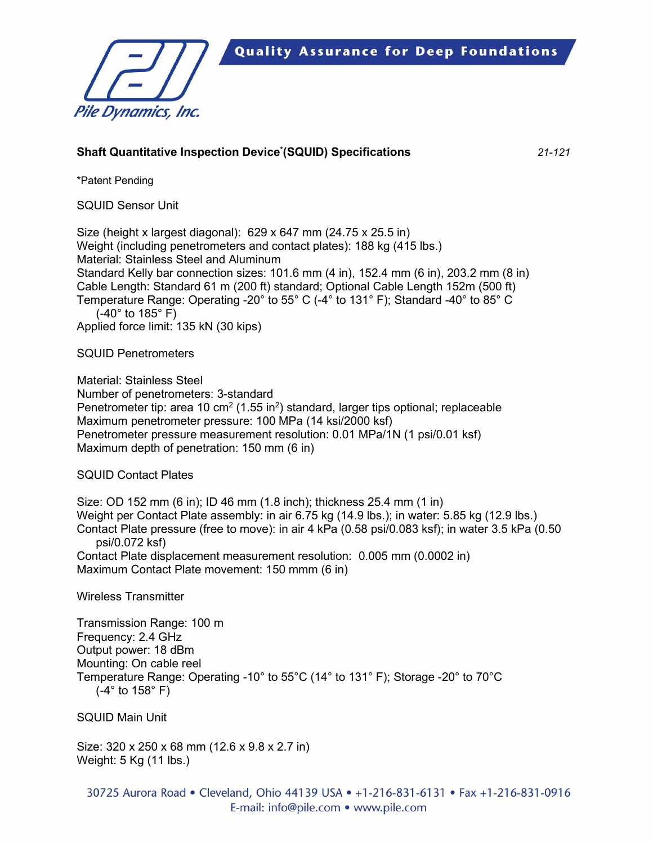**Quality Assurance for Deep Foundations** 



## **Shaft Quantitative Inspection Device\* (SQUID) Specifications** *21-121*

\*Patent Pending

SQUID Sensor Unit

Size (height x largest diagonal): 629 x 647 mm (24.75 x 25.5 in) Weight (including penetrometers and contact plates): 188 kg (415 lbs.) Material: Stainless Steel and Aluminum Standard Kelly bar connection sizes: 101.6 mm (4 in), 152.4 mm (6 in), 203.2 mm (8 in) Cable Length: Standard 61 m (200 ft) standard; Optional Cable Length 152m (500 ft) Temperature Range: Operating -20° to 55° C (-4° to 131° F); Standard -40° to 85° C (-40° to 185° F) Applied force limit: 135 kN (30 kips) SQUID Penetrometers

Material: Stainless Steel Number of penetrometers: 3-standard Penetrometer tip: area 10 cm $^2$  (1.55 in $^2$ ) standard, larger tips optional; replaceable Maximum penetrometer pressure: 100 MPa (14 ksi/2000 ksf) Penetrometer pressure measurement resolution: 0.01 MPa/1N (1 psi/0.01 ksf) Maximum depth of penetration: 150 mm (6 in)

SQUID Contact Plates

Size: OD 152 mm (6 in); ID 46 mm (1.8 inch); thickness 25.4 mm (1 in) Weight per Contact Plate assembly: in air 6.75 kg (14.9 lbs.); in water: 5.85 kg (12.9 lbs.) Contact Plate pressure (free to move): in air 4 kPa (0.58 psi/0.083 ksf); in water 3.5 kPa (0.50 psi/0.072 ksf) Contact Plate displacement measurement resolution: 0.005 mm (0.0002 in) Maximum Contact Plate movement: 150 mmm (6 in)

Wireless Transmitter

Transmission Range: 100 m Frequency: 2.4 GHz Output power: 18 dBm Mounting: On cable reel Temperature Range: Operating -10° to 55°C (14° to 131° F); Storage -20° to 70°C  $(-4^\circ$  to 158 $^\circ$  F)

SQUID Main Unit

Size: 320 x 250 x 68 mm (12.6 x 9.8 x 2.7 in) Weight: 5 Kg (11 lbs.)